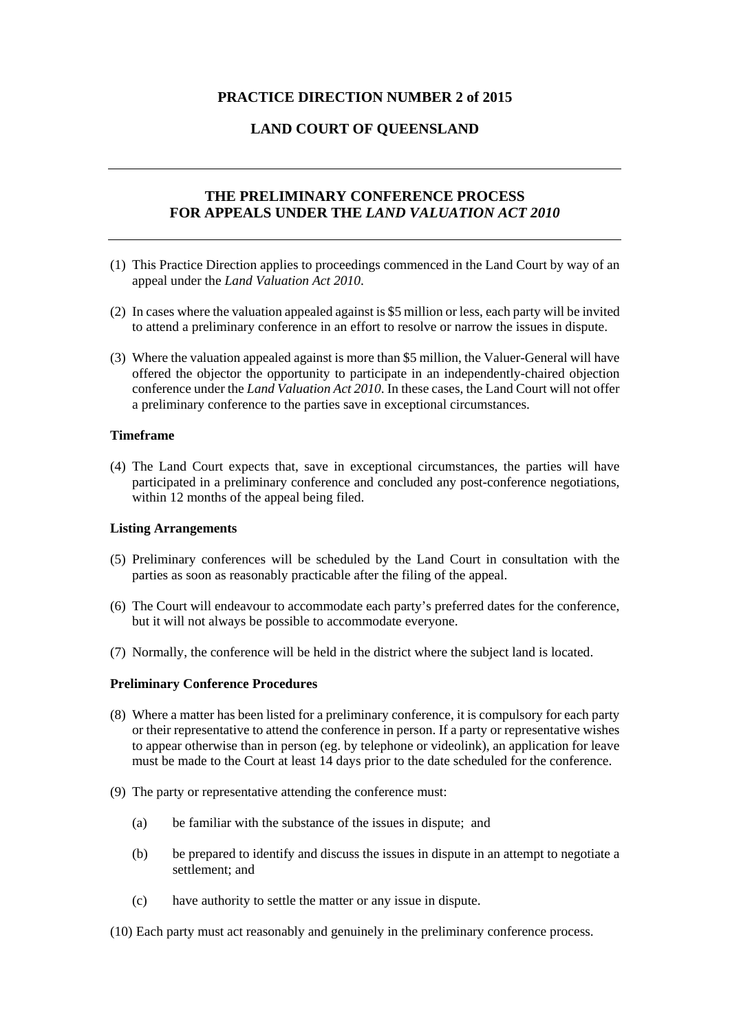### **PRACTICE DIRECTION NUMBER 2 of 2015**

# **LAND COURT OF QUEENSLAND**

# **THE PRELIMINARY CONFERENCE PROCESS FOR APPEALS UNDER THE** *LAND VALUATION ACT 2010*

- (1) This Practice Direction applies to proceedings commenced in the Land Court by way of an appeal under the *Land Valuation Act 2010*.
- (2) In cases where the valuation appealed against is \$5 million or less, each party will be invited to attend a preliminary conference in an effort to resolve or narrow the issues in dispute.
- (3) Where the valuation appealed against is more than \$5 million, the Valuer-General will have offered the objector the opportunity to participate in an independently-chaired objection conference under the *Land Valuation Act 2010*. In these cases, the Land Court will not offer a preliminary conference to the parties save in exceptional circumstances.

#### **Timeframe**

(4) The Land Court expects that, save in exceptional circumstances, the parties will have participated in a preliminary conference and concluded any post-conference negotiations, within 12 months of the appeal being filed.

### **Listing Arrangements**

- (5) Preliminary conferences will be scheduled by the Land Court in consultation with the parties as soon as reasonably practicable after the filing of the appeal.
- (6) The Court will endeavour to accommodate each party's preferred dates for the conference, but it will not always be possible to accommodate everyone.
- (7) Normally, the conference will be held in the district where the subject land is located.

#### **Preliminary Conference Procedures**

- (8) Where a matter has been listed for a preliminary conference, it is compulsory for each party or their representative to attend the conference in person. If a party or representative wishes to appear otherwise than in person (eg. by telephone or videolink), an application for leave must be made to the Court at least 14 days prior to the date scheduled for the conference.
- (9) The party or representative attending the conference must:
	- (a) be familiar with the substance of the issues in dispute; and
	- (b) be prepared to identify and discuss the issues in dispute in an attempt to negotiate a settlement; and
	- (c) have authority to settle the matter or any issue in dispute.
- (10) Each party must act reasonably and genuinely in the preliminary conference process.